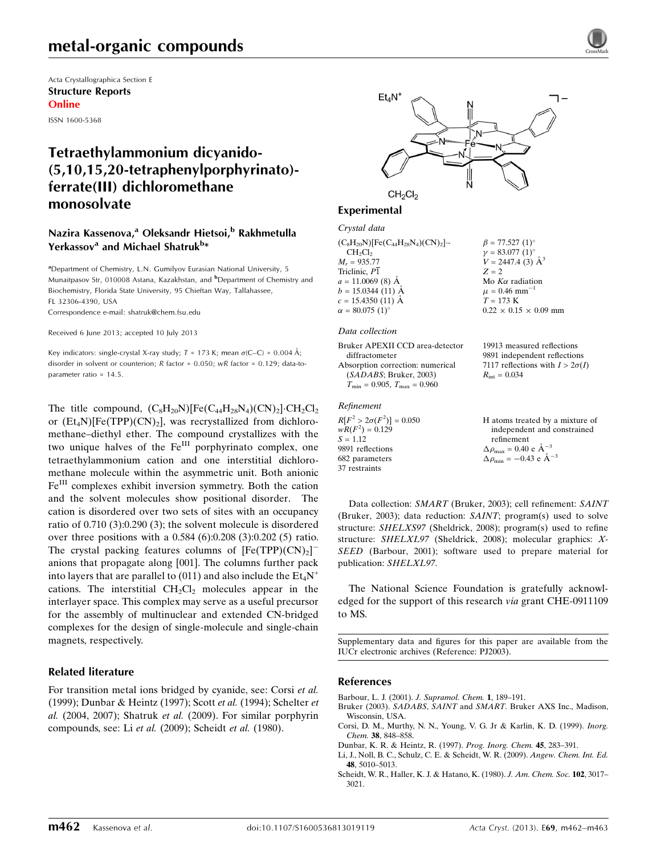## metal-organic compounds

Acta Crystallographica Section E Structure Reports Online

ISSN 1600-5368

## Tetraethylammonium dicyanido- (5,10,15,20-tetraphenylporphyrinato) ferrate(III) dichloromethane monosolvate

#### Nazira Kassenova,<sup>a</sup> Oleksandr Hietsoi,<sup>b</sup> Rakhmetulla Yerkassov<sup>a</sup> and Michael Shatruk<sup>b</sup>\*

<sup>a</sup> Department of Chemistry, L.N. Gumilyov Eurasian National University, 5 Munaitpasov Str, 010008 Astana, Kazakhstan, and <sup>b</sup>Department of Chemistry and Biochemistry, Florida State University, 95 Chieftan Way, Tallahassee, FL 32306-4390, USA

Correspondence e-mail: [shatruk@chem.fsu.edu](https://scripts.iucr.org/cgi-bin/cr.cgi?rm=pdfbb&cnor=pj2003&bbid=BB11)

Received 6 June 2013; accepted 10 July 2013

Key indicators: single-crystal X-ray study;  $T = 173$  K; mean  $\sigma$ (C–C) = 0.004 Å; disorder in solvent or counterion; R factor = 0.050; wR factor = 0.129; data-toparameter ratio = 14.5.

The title compound,  $(C_8H_{20}N)[Fe(C_{44}H_{28}N_4)(CN)_2]\cdot CH_2Cl_2$ or  $(Et_4N)[Fe(TPP)(CN)_2]$ , was recrystallized from dichloromethane–diethyl ether. The compound crystallizes with the two unique halves of the  $Fe<sup>III</sup>$  porphyrinato complex, one tetraethylammonium cation and one interstitial dichloromethane molecule within the asymmetric unit. Both anionic Fe<sup>III</sup> complexes exhibit inversion symmetry. Both the cation and the solvent molecules show positional disorder. The cation is disordered over two sets of sites with an occupancy ratio of 0.710 (3):0.290 (3); the solvent molecule is disordered over three positions with a 0.584 (6):0.208 (3):0.202 (5) ratio. The crystal packing features columns of  $[Fe(TPP)(CN)<sub>2</sub>]$ <sup>-</sup> anions that propagate along [001]. The columns further pack into layers that are parallel to (011) and also include the  $Et_4N^+$ cations. The interstitial  $CH<sub>2</sub>Cl<sub>2</sub>$  molecules appear in the interlayer space. This complex may serve as a useful precursor for the assembly of multinuclear and extended CN-bridged complexes for the design of single-molecule and single-chain magnets, respectively.

#### Related literature

For transition metal ions bridged by cyanide, see: Corsi et al. (1999); Dunbar & Heintz (1997); Scott et al. (1994); Schelter et  $al.$  (2004, 2007); Shatruk et al. (2009). For similar porphyrin compounds, see: Li et al. (2009); Scheidt et al. (1980).



#### Experimental

#### Crystal data

 $(C_8H_{20}N)[Fe(C_{44}H_{28}N_4)(CN)_2]$ .  $CH_2Cl_2$  $M_r = 935.77$ Triclinic, P1  $a = 11.0069$  (8) Å  $b = 15.0344(11)$  Å  $c = 15.4350(11)$  Å  $\alpha = 80.075 \ (1)^{\circ}$ 

#### Data collection

Bruker APEXII CCD area-detector diffractometer Absorption correction: numerical (SADABS; Bruker, 2003)  $T_{\text{min}} = 0.905$ ,  $T_{\text{max}} = 0.960$ 

#### Refinement

 $R[F^2 > 2\sigma(F^2)] = 0.050$  $wR(F^2) = 0.129$  $S = 1.12$ 9891 reflections 682 parameters 37 restraints

 $T = 173 K$  $0.22 \times 0.15 \times 0.09$  mm 19913 measured reflections 9891 independent reflections

 $\beta = 77.527 (1)$ °  $\gamma = 83.077 \ (1)^{\circ}$  $V = 2447.4$  (3)  $\AA^3$ 

Mo  $K\alpha$  radiation  $\mu$  = 0.46 mm<sup>-</sup>

 $Z = 2$ 

7117 reflections with  $I > 2\sigma(I)$  $R_{\text{int}} = 0.034$ 

H atoms treated by a mixture of independent and constrained refinement  $\Delta \rho_{\text{max}} = 0.40 \text{ e } \text{\AA}_{\text{\tiny s}}^{-3}$  $\Delta \rho_{\text{min}} = -0.43 \text{ e } \text{\AA}^{-3}$ 

Data collection: SMART (Bruker, 2003); cell refinement: SAINT (Bruker, 2003); data reduction: SAINT; program(s) used to solve structure: SHELXS97 (Sheldrick, 2008); program(s) used to refine structure: SHELXL97 (Sheldrick, 2008); molecular graphics: X-SEED (Barbour, 2001); software used to prepare material for publication: SHELXL97.

The National Science Foundation is gratefully acknowledged for the support of this research via grant CHE-0911109 to MS.

Supplementary data and figures for this paper are available from the IUCr electronic archives (Reference: PJ2003).

#### References

- [Barbour, L. J. \(2001\).](https://scripts.iucr.org/cgi-bin/cr.cgi?rm=pdfbb&cnor=pj2003&bbid=BB1) J. Supramol. Chem. 1, 189–191.
- Bruker (2003). SADABS, SAINT and SMART[. Bruker AXS Inc., Madison,](https://scripts.iucr.org/cgi-bin/cr.cgi?rm=pdfbb&cnor=pj2003&bbid=BB2) [Wisconsin, USA.](https://scripts.iucr.org/cgi-bin/cr.cgi?rm=pdfbb&cnor=pj2003&bbid=BB2)
- [Corsi, D. M., Murthy, N. N., Young, V. G. Jr & Karlin, K. D. \(1999\).](https://scripts.iucr.org/cgi-bin/cr.cgi?rm=pdfbb&cnor=pj2003&bbid=BB3) Inorg. Chem. 38[, 848–858.](https://scripts.iucr.org/cgi-bin/cr.cgi?rm=pdfbb&cnor=pj2003&bbid=BB3)
- [Dunbar, K. R. & Heintz, R. \(1997\).](https://scripts.iucr.org/cgi-bin/cr.cgi?rm=pdfbb&cnor=pj2003&bbid=BB4) Prog. Inorg. Chem. 45, 283–391.
- [Li, J., Noll, B. C., Schulz, C. E. & Scheidt, W. R. \(2009\).](https://scripts.iucr.org/cgi-bin/cr.cgi?rm=pdfbb&cnor=pj2003&bbid=BB5) Angew. Chem. Int. Ed. 48[, 5010–5013.](https://scripts.iucr.org/cgi-bin/cr.cgi?rm=pdfbb&cnor=pj2003&bbid=BB5)
- [Scheidt, W. R., Haller, K. J. & Hatano, K. \(1980\).](https://scripts.iucr.org/cgi-bin/cr.cgi?rm=pdfbb&cnor=pj2003&bbid=BB6) J. Am. Chem. Soc. 102, 3017– [3021.](https://scripts.iucr.org/cgi-bin/cr.cgi?rm=pdfbb&cnor=pj2003&bbid=BB6)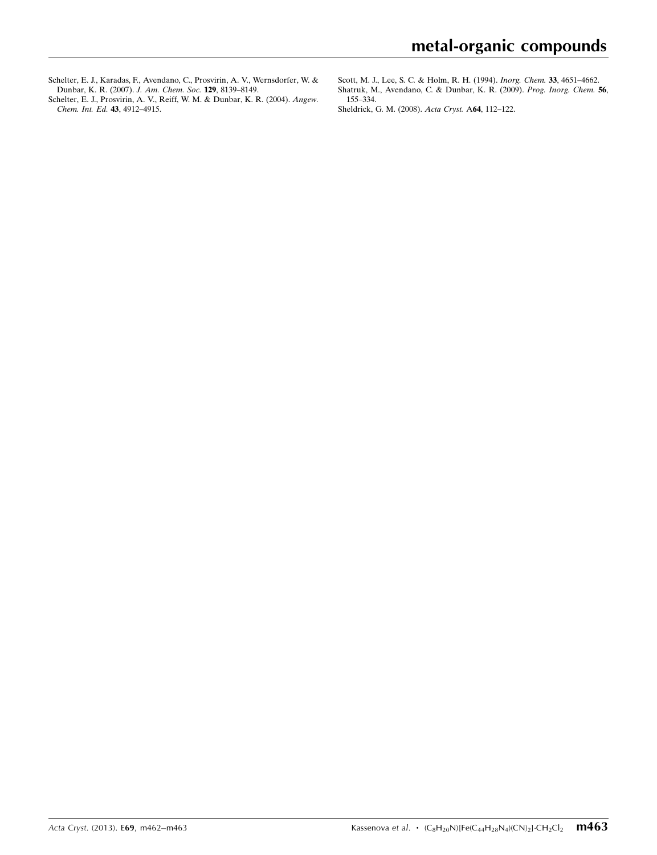- [Schelter, E. J., Karadas, F., Avendano, C., Prosvirin, A. V., Wernsdorfer, W. &](https://scripts.iucr.org/cgi-bin/cr.cgi?rm=pdfbb&cnor=pj2003&bbid=BB7) [Dunbar, K. R. \(2007\).](https://scripts.iucr.org/cgi-bin/cr.cgi?rm=pdfbb&cnor=pj2003&bbid=BB7) J. Am. Chem. Soc. 129, 8139–8149.
- [Schelter, E. J., Prosvirin, A. V., Reiff, W. M. & Dunbar, K. R. \(2004\).](https://scripts.iucr.org/cgi-bin/cr.cgi?rm=pdfbb&cnor=pj2003&bbid=BB8) Angew. [Chem. Int. Ed.](https://scripts.iucr.org/cgi-bin/cr.cgi?rm=pdfbb&cnor=pj2003&bbid=BB8) 43, 4912–4915.
- [Scott, M. J., Lee, S. C. & Holm, R. H. \(1994\).](https://scripts.iucr.org/cgi-bin/cr.cgi?rm=pdfbb&cnor=pj2003&bbid=BB9) Inorg. Chem. 33, 4651–4662. [Shatruk, M., Avendano, C. & Dunbar, K. R. \(2009\).](https://scripts.iucr.org/cgi-bin/cr.cgi?rm=pdfbb&cnor=pj2003&bbid=BB10) Prog. Inorg. Chem. 56, [155–334.](https://scripts.iucr.org/cgi-bin/cr.cgi?rm=pdfbb&cnor=pj2003&bbid=BB10)
- [Sheldrick, G. M. \(2008\).](https://scripts.iucr.org/cgi-bin/cr.cgi?rm=pdfbb&cnor=pj2003&bbid=BB11) Acta Cryst. A64, 112–122.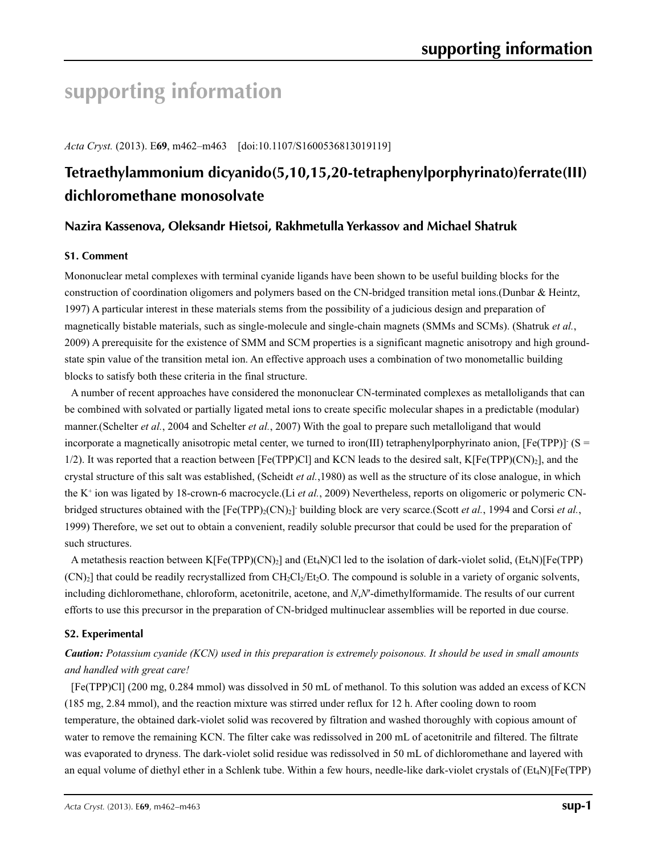# **supporting information**

*Acta Cryst.* (2013). E**69**, m462–m463 [doi:10.1107/S1600536813019119]

# **Tetraethylammonium dicyanido(5,10,15,20-tetraphenylporphyrinato)ferrate(III) dichloromethane monosolvate**

### **Nazira Kassenova, Oleksandr Hietsoi, Rakhmetulla Yerkassov and Michael Shatruk**

#### **S1. Comment**

Mononuclear metal complexes with terminal cyanide ligands have been shown to be useful building blocks for the construction of coordination oligomers and polymers based on the CN-bridged transition metal ions.(Dunbar & Heintz, 1997) A particular interest in these materials stems from the possibility of a judicious design and preparation of magnetically bistable materials, such as single-molecule and single-chain magnets (SMMs and SCMs). (Shatruk *et al.*, 2009) A prerequisite for the existence of SMM and SCM properties is a significant magnetic anisotropy and high groundstate spin value of the transition metal ion. An effective approach uses a combination of two monometallic building blocks to satisfy both these criteria in the final structure.

A number of recent approaches have considered the mononuclear CN-terminated complexes as metalloligands that can be combined with solvated or partially ligated metal ions to create specific molecular shapes in a predictable (modular) manner.(Schelter *et al.*, 2004 and Schelter *et al.*, 2007) With the goal to prepare such metalloligand that would incorporate a magnetically anisotropic metal center, we turned to iron(III) tetraphenylporphyrinato anion,  $[Fe(TPP)]$  (S =  $1/2$ ). It was reported that a reaction between [Fe(TPP)Cl] and KCN leads to the desired salt, K[Fe(TPP)(CN)<sub>2</sub>], and the crystal structure of this salt was established, (Scheidt *et al.*,1980) as well as the structure of its close analogue, in which the K+ ion was ligated by 18-crown-6 macrocycle.(Li *et al.*, 2009) Nevertheless, reports on oligomeric or polymeric CNbridged structures obtained with the [Fe(TPP)<sub>2</sub>(CN)<sub>2</sub>] building block are very scarce.(Scott *et al.*, 1994 and Corsi *et al.*, 1999) Therefore, we set out to obtain a convenient, readily soluble precursor that could be used for the preparation of such structures.

A metathesis reaction between  $K[Fe(TPP)(CN)_2]$  and  $(Et_4N)Cl$  led to the isolation of dark-violet solid,  $(Et_4N)[Fe(TPP)]$  $(CN)_2$ ] that could be readily recrystallized from  $CH_2Cl_2/Et_2O$ . The compound is soluble in a variety of organic solvents, including dichloromethane, chloroform, acetonitrile, acetone, and *N*,*N*′-dimethylformamide. The results of our current efforts to use this precursor in the preparation of CN-bridged multinuclear assemblies will be reported in due course.

#### **S2. Experimental**

### *Caution: Potassium cyanide (KCN) used in this preparation is extremely poisonous. It should be used in small amounts and handled with great care!*

[Fe(TPP)Cl] (200 mg, 0.284 mmol) was dissolved in 50 mL of methanol. To this solution was added an excess of KCN (185 mg, 2.84 mmol), and the reaction mixture was stirred under reflux for 12 h. After cooling down to room temperature, the obtained dark-violet solid was recovered by filtration and washed thoroughly with copious amount of water to remove the remaining KCN. The filter cake was redissolved in 200 mL of acetonitrile and filtered. The filtrate was evaporated to dryness. The dark-violet solid residue was redissolved in 50 mL of dichloromethane and layered with an equal volume of diethyl ether in a Schlenk tube. Within a few hours, needle-like dark-violet crystals of  $(Et_AN)[Fe(TPP)$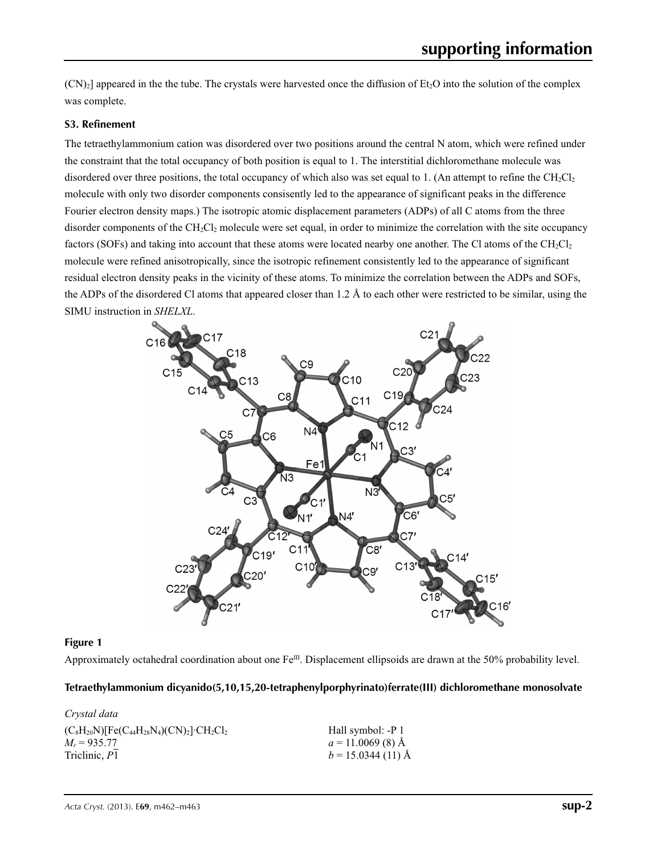$(CN)_2$ ] appeared in the the tube. The crystals were harvested once the diffusion of Et<sub>2</sub>O into the solution of the complex was complete.

#### **S3. Refinement**

The tetraethylammonium cation was disordered over two positions around the central N atom, which were refined under the constraint that the total occupancy of both position is equal to 1. The interstitial dichloromethane molecule was disordered over three positions, the total occupancy of which also was set equal to 1. (An attempt to refine the CH<sub>2</sub>Cl<sub>2</sub>) molecule with only two disorder components consisently led to the appearance of significant peaks in the difference Fourier electron density maps.) The isotropic atomic displacement parameters (ADPs) of all C atoms from the three disorder components of the  $CH_2Cl_2$  molecule were set equal, in order to minimize the correlation with the site occupancy factors (SOFs) and taking into account that these atoms were located nearby one another. The Cl atoms of the  $CH_2Cl_2$ molecule were refined anisotropically, since the isotropic refinement consistently led to the appearance of significant residual electron density peaks in the vicinity of these atoms. To minimize the correlation between the ADPs and SOFs, the ADPs of the disordered Cl atoms that appeared closer than 1.2 Å to each other were restricted to be similar, using the SIMU instruction in *SHELXL*.



#### **Figure 1**

Approximately octahedral coordination about one Fe<sup>III</sup>. Displacement ellipsoids are drawn at the 50% probability level.

#### **Tetraethylammonium dicyanido(5,10,15,20-tetraphenylporphyrinato)ferrate(III) dichloromethane monosolvate**

| Crystal data                                                                                                           |                     |
|------------------------------------------------------------------------------------------------------------------------|---------------------|
| $(C_8H_{20}N)$ [Fe(C <sub>44</sub> H <sub>28</sub> N <sub>4</sub> )(CN) <sub>2</sub> ]·CH <sub>2</sub> Cl <sub>2</sub> | Hall symbol: -P 1   |
| $M_r = 935.77$                                                                                                         | $a = 11.0069(8)$ Å  |
| Triclinic, P1                                                                                                          | $b = 15.0344(11)$ Å |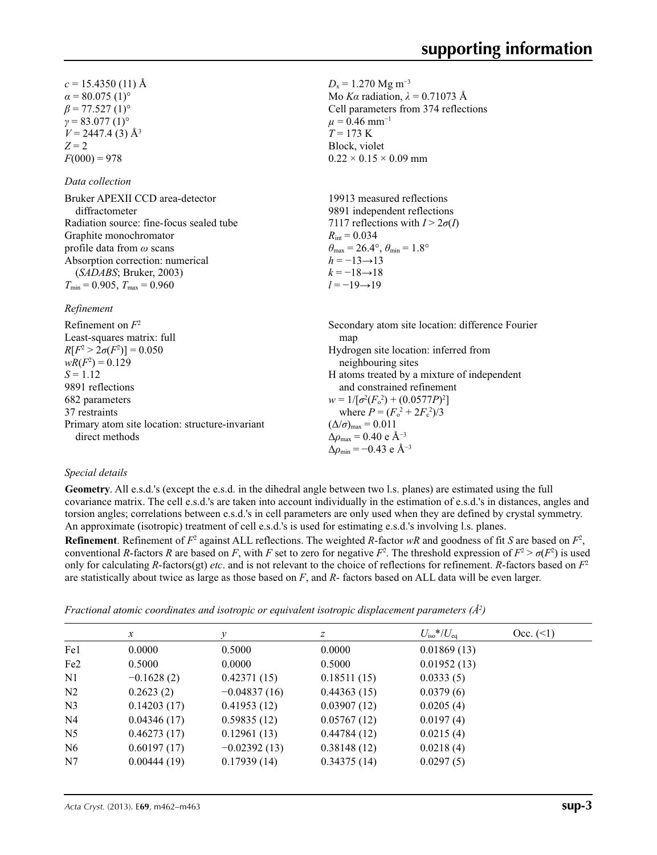$c = 15.4350(11)$  Å  $\alpha$  = 80.075 (1)<sup>o</sup>  $\beta$  = 77.527 (1)<sup>o</sup>  $\gamma$  = 83.077 (1)<sup>o</sup>  $V = 2447.4$  (3)  $\AA$ <sup>3</sup>  $Z = 2$  $F(000) = 978$ 

*Data collection*

Bruker APEXII CCD area-detector diffractometer Radiation source: fine-focus sealed tube Graphite monochromator profile data from *ω* scans Absorption correction: numerical (*SADABS*; Bruker, 2003)  $T_{\text{min}} = 0.905$ ,  $T_{\text{max}} = 0.960$ 

#### *Refinement*

Refinement on *F*<sup>2</sup> Least-squares matrix: full  $R[F^2 > 2\sigma(F^2)] = 0.050$  $wR(F^2) = 0.129$  $S = 1.12$ 9891 reflections 682 parameters 37 restraints Primary atom site location: structure-invariant direct methods map

 $D_x = 1.270$  Mg m<sup>-3</sup> Mo *Kα* radiation,  $\lambda = 0.71073$  Å Cell parameters from 374 reflections  $\mu$  = 0.46 mm<sup>-1</sup>  $T = 173$  K Block, violet  $0.22 \times 0.15 \times 0.09$  mm

19913 measured reflections 9891 independent reflections 7117 reflections with  $I > 2\sigma(I)$  $R_{\text{int}} = 0.034$  $\theta_{\text{max}} = 26.4^{\circ}, \theta_{\text{min}} = 1.8^{\circ}$  $h = -13 \rightarrow 13$  $k = -18 \rightarrow 18$ *l* = −19→19

Secondary atom site location: difference Fourier Hydrogen site location: inferred from neighbouring sites H atoms treated by a mixture of independent and constrained refinement  $w = 1/[\sigma^2 (F_o^2) + (0.0577P)^2]$ where  $P = (F_o^2 + 2F_c^2)/3$  $(\Delta/\sigma)_{\text{max}} = 0.011$ Δ*ρ*max = 0.40 e Å−3  $\Delta \rho_{\text{min}} = -0.43$  e Å<sup>-3</sup>

#### *Special details*

**Geometry**. All e.s.d.'s (except the e.s.d. in the dihedral angle between two l.s. planes) are estimated using the full covariance matrix. The cell e.s.d.'s are taken into account individually in the estimation of e.s.d.'s in distances, angles and torsion angles; correlations between e.s.d.'s in cell parameters are only used when they are defined by crystal symmetry. An approximate (isotropic) treatment of cell e.s.d.'s is used for estimating e.s.d.'s involving l.s. planes.

**Refinement**. Refinement of  $F^2$  against ALL reflections. The weighted *R*-factor  $wR$  and goodness of fit *S* are based on  $F^2$ , conventional *R*-factors *R* are based on *F*, with *F* set to zero for negative *F*<sup>2</sup>. The threshold expression of  $F^2 > \sigma(F^2)$  is used only for calculating *R*-factors(gt) *etc*. and is not relevant to the choice of reflections for refinement. *R*-factors based on *F*<sup>2</sup> are statistically about twice as large as those based on *F*, and *R*- factors based on ALL data will be even larger.

*Fractional atomic coordinates and isotropic or equivalent isotropic displacement parameters (Å<sup>2</sup>)* 

|                 | $\mathcal{X}$ | v              | z           | $U_{\rm iso} * / U_{\rm eq}$ | Occ. (2) |
|-----------------|---------------|----------------|-------------|------------------------------|----------|
| Fe1             | 0.0000        | 0.5000         | 0.0000      | 0.01869(13)                  |          |
| Fe <sub>2</sub> | 0.5000        | 0.0000         | 0.5000      | 0.01952(13)                  |          |
| N1              | $-0.1628(2)$  | 0.42371(15)    | 0.18511(15) | 0.0333(5)                    |          |
| N <sub>2</sub>  | 0.2623(2)     | $-0.04837(16)$ | 0.44363(15) | 0.0379(6)                    |          |
| N <sub>3</sub>  | 0.14203(17)   | 0.41953(12)    | 0.03907(12) | 0.0205(4)                    |          |
| N <sub>4</sub>  | 0.04346(17)   | 0.59835(12)    | 0.05767(12) | 0.0197(4)                    |          |
| N <sub>5</sub>  | 0.46273(17)   | 0.12961(13)    | 0.44784(12) | 0.0215(4)                    |          |
| N <sub>6</sub>  | 0.60197(17)   | $-0.02392(13)$ | 0.38148(12) | 0.0218(4)                    |          |
| N7              | 0.00444(19)   | 0.17939(14)    | 0.34375(14) | 0.0297(5)                    |          |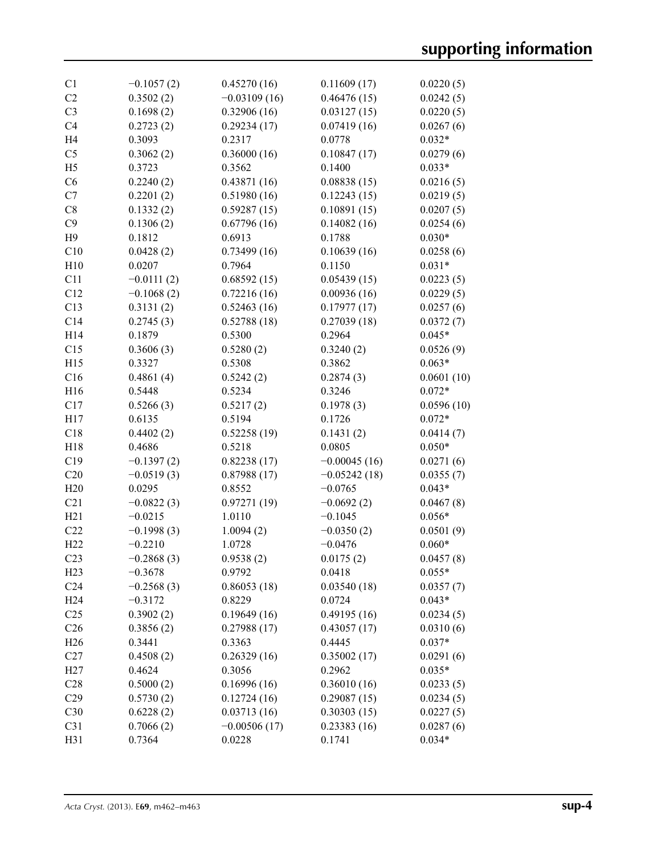| C <sub>1</sub>  | $-0.1057(2)$ | 0.45270(16)    | 0.11609(17)    | 0.0220(5)  |
|-----------------|--------------|----------------|----------------|------------|
| C2              | 0.3502(2)    | $-0.03109(16)$ | 0.46476(15)    | 0.0242(5)  |
| C <sub>3</sub>  | 0.1698(2)    | 0.32906(16)    | 0.03127(15)    | 0.0220(5)  |
| C <sub>4</sub>  | 0.2723(2)    | 0.29234(17)    | 0.07419(16)    | 0.0267(6)  |
| H <sub>4</sub>  | 0.3093       | 0.2317         | 0.0778         | $0.032*$   |
| C <sub>5</sub>  | 0.3062(2)    | 0.36000(16)    | 0.10847(17)    | 0.0279(6)  |
| H <sub>5</sub>  | 0.3723       | 0.3562         | 0.1400         | $0.033*$   |
| C6              | 0.2240(2)    | 0.43871(16)    | 0.08838(15)    | 0.0216(5)  |
| C7              | 0.2201(2)    | 0.51980(16)    | 0.12243(15)    | 0.0219(5)  |
| C8              | 0.1332(2)    | 0.59287(15)    | 0.10891(15)    | 0.0207(5)  |
| C9              | 0.1306(2)    | 0.67796(16)    | 0.14082(16)    | 0.0254(6)  |
| H9              | 0.1812       | 0.6913         | 0.1788         | $0.030*$   |
| C10             | 0.0428(2)    | 0.73499(16)    | 0.10639(16)    | 0.0258(6)  |
| H10             | 0.0207       | 0.7964         | 0.1150         | $0.031*$   |
| C11             | $-0.0111(2)$ | 0.68592(15)    | 0.05439(15)    | 0.0223(5)  |
| C12             | $-0.1068(2)$ | 0.72216(16)    | 0.00936(16)    | 0.0229(5)  |
| C13             | 0.3131(2)    | 0.52463(16)    | 0.17977(17)    | 0.0257(6)  |
| C14             | 0.2745(3)    | 0.52788(18)    | 0.27039(18)    | 0.0372(7)  |
| H14             | 0.1879       | 0.5300         | 0.2964         | $0.045*$   |
| C15             | 0.3606(3)    | 0.5280(2)      | 0.3240(2)      | 0.0526(9)  |
| H15             | 0.3327       | 0.5308         | 0.3862         | $0.063*$   |
| C16             | 0.4861(4)    | 0.5242(2)      | 0.2874(3)      | 0.0601(10) |
| H <sub>16</sub> | 0.5448       | 0.5234         | 0.3246         | $0.072*$   |
| C17             | 0.5266(3)    | 0.5217(2)      | 0.1978(3)      | 0.0596(10) |
| H17             | 0.6135       | 0.5194         | 0.1726         | $0.072*$   |
| C18             | 0.4402(2)    | 0.52258(19)    | 0.1431(2)      | 0.0414(7)  |
| H18             | 0.4686       | 0.5218         | 0.0805         | $0.050*$   |
| C19             | $-0.1397(2)$ | 0.82238(17)    | $-0.00045(16)$ | 0.0271(6)  |
| C20             | $-0.0519(3)$ | 0.87988(17)    | $-0.05242(18)$ | 0.0355(7)  |
| H20             | 0.0295       | 0.8552         | $-0.0765$      | $0.043*$   |
| C21             | $-0.0822(3)$ | 0.97271(19)    | $-0.0692(2)$   | 0.0467(8)  |
| H21             | $-0.0215$    | 1.0110         | $-0.1045$      | $0.056*$   |
| C22             | $-0.1998(3)$ | 1.0094(2)      | $-0.0350(2)$   | 0.0501(9)  |
| H <sub>22</sub> | $-0.2210$    | 1.0728         | $-0.0476$      | $0.060*$   |
| C <sub>23</sub> | $-0.2868(3)$ | 0.9538(2)      | 0.0175(2)      | 0.0457(8)  |
| H <sub>23</sub> | $-0.3678$    | 0.9792         | 0.0418         | $0.055*$   |
| C <sub>24</sub> | $-0.2568(3)$ | 0.86053(18)    | 0.03540(18)    | 0.0357(7)  |
| H <sub>24</sub> | $-0.3172$    | 0.8229         | 0.0724         | $0.043*$   |
| C <sub>25</sub> | 0.3902(2)    | 0.19649(16)    | 0.49195(16)    | 0.0234(5)  |
| C <sub>26</sub> | 0.3856(2)    | 0.27988(17)    | 0.43057(17)    | 0.0310(6)  |
| H <sub>26</sub> | 0.3441       | 0.3363         | 0.4445         | $0.037*$   |
| C27             | 0.4508(2)    | 0.26329(16)    | 0.35002(17)    | 0.0291(6)  |
| H27             | 0.4624       | 0.3056         | 0.2962         | $0.035*$   |
| C28             | 0.5000(2)    | 0.16996(16)    | 0.36010(16)    | 0.0233(5)  |
| C29             | 0.5730(2)    | 0.12724(16)    | 0.29087(15)    | 0.0234(5)  |
| C30             | 0.6228(2)    | 0.03713(16)    | 0.30303(15)    | 0.0227(5)  |
| C31             | 0.7066(2)    | $-0.00506(17)$ | 0.23383(16)    | 0.0287(6)  |
| H31             | 0.7364       | 0.0228         | 0.1741         | $0.034*$   |
|                 |              |                |                |            |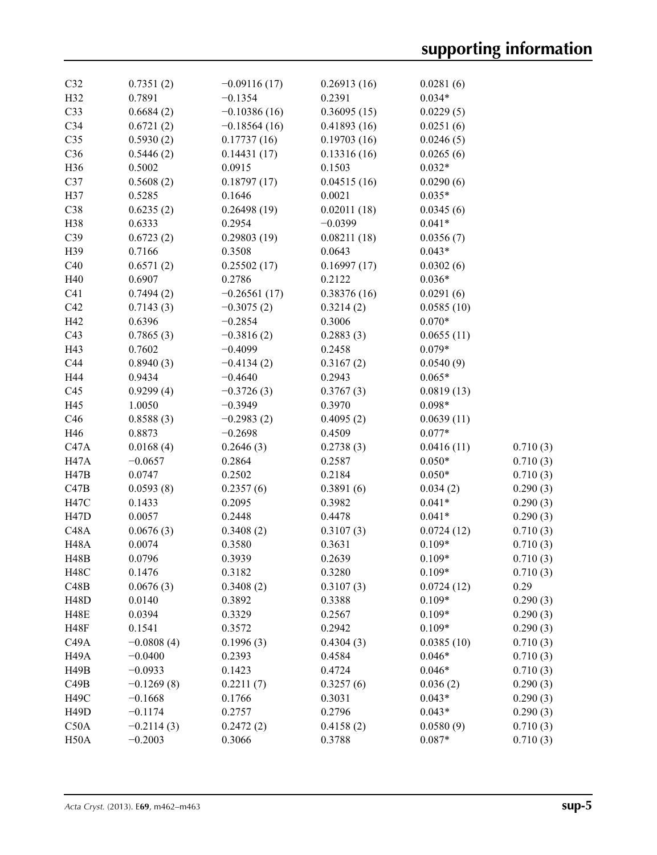| C32               | 0.7351(2)    | $-0.09116(17)$ | 0.26913(16) | 0.0281(6)  |          |
|-------------------|--------------|----------------|-------------|------------|----------|
| H32               | 0.7891       | $-0.1354$      | 0.2391      | $0.034*$   |          |
| C33               | 0.6684(2)    | $-0.10386(16)$ | 0.36095(15) | 0.0229(5)  |          |
| C <sub>34</sub>   | 0.6721(2)    | $-0.18564(16)$ | 0.41893(16) | 0.0251(6)  |          |
| C35               | 0.5930(2)    | 0.17737(16)    | 0.19703(16) | 0.0246(5)  |          |
| C36               | 0.5446(2)    | 0.14431(17)    | 0.13316(16) | 0.0265(6)  |          |
| H36               | 0.5002       | 0.0915         | 0.1503      | $0.032*$   |          |
| C37               | 0.5608(2)    | 0.18797(17)    | 0.04515(16) | 0.0290(6)  |          |
| H37               | 0.5285       | 0.1646         | 0.0021      | $0.035*$   |          |
| C38               | 0.6235(2)    | 0.26498(19)    | 0.02011(18) | 0.0345(6)  |          |
| H38               | 0.6333       | 0.2954         | $-0.0399$   | $0.041*$   |          |
| C39               | 0.6723(2)    | 0.29803(19)    | 0.08211(18) | 0.0356(7)  |          |
| H39               | 0.7166       | 0.3508         | 0.0643      | $0.043*$   |          |
| C40               | 0.6571(2)    | 0.25502(17)    | 0.16997(17) | 0.0302(6)  |          |
| H40               | 0.6907       | 0.2786         | 0.2122      | $0.036*$   |          |
| C <sub>41</sub>   | 0.7494(2)    | $-0.26561(17)$ | 0.38376(16) | 0.0291(6)  |          |
| C42               | 0.7143(3)    | $-0.3075(2)$   | 0.3214(2)   | 0.0585(10) |          |
| H42               | 0.6396       | $-0.2854$      | 0.3006      | $0.070*$   |          |
| C43               | 0.7865(3)    | $-0.3816(2)$   | 0.2883(3)   | 0.0655(11) |          |
| H43               | 0.7602       | $-0.4099$      | 0.2458      | $0.079*$   |          |
| C44               | 0.8940(3)    | $-0.4134(2)$   | 0.3167(2)   | 0.0540(9)  |          |
| H44               | 0.9434       | $-0.4640$      | 0.2943      | $0.065*$   |          |
| C45               | 0.9299(4)    | $-0.3726(3)$   | 0.3767(3)   | 0.0819(13) |          |
| H45               | 1.0050       | $-0.3949$      | 0.3970      | $0.098*$   |          |
| C46               | 0.8588(3)    | $-0.2983(2)$   | 0.4095(2)   | 0.0639(11) |          |
| H46               | 0.8873       | $-0.2698$      | 0.4509      | $0.077*$   |          |
| C47A              | 0.0168(4)    | 0.2646(3)      | 0.2738(3)   | 0.0416(11) | 0.710(3) |
| <b>H47A</b>       | $-0.0657$    | 0.2864         | 0.2587      | $0.050*$   | 0.710(3) |
| H47B              | 0.0747       | 0.2502         | 0.2184      | $0.050*$   | 0.710(3) |
| C47B              | 0.0593(8)    | 0.2357(6)      | 0.3891(6)   | 0.034(2)   | 0.290(3) |
| <b>H47C</b>       | 0.1433       | 0.2095         | 0.3982      | $0.041*$   | 0.290(3) |
| H <sub>47</sub> D | 0.0057       | 0.2448         | 0.4478      | $0.041*$   | 0.290(3) |
| C48A              | 0.0676(3)    | 0.3408(2)      | 0.3107(3)   | 0.0724(12) | 0.710(3) |
| <b>H48A</b>       | 0.0074       | 0.3580         | 0.3631      | $0.109*$   | 0.710(3) |
| <b>H48B</b>       | 0.0796       | 0.3939         | 0.2639      | $0.109*$   | 0.710(3) |
| <b>H48C</b>       | 0.1476       | 0.3182         | 0.3280      | $0.109*$   | 0.710(3) |
| C48B              | 0.0676(3)    | 0.3408(2)      | 0.3107(3)   | 0.0724(12) | 0.29     |
| <b>H48D</b>       | 0.0140       | 0.3892         | 0.3388      | $0.109*$   | 0.290(3) |
| <b>H48E</b>       | 0.0394       | 0.3329         | 0.2567      | $0.109*$   | 0.290(3) |
| <b>H48F</b>       | 0.1541       | 0.3572         | 0.2942      | $0.109*$   | 0.290(3) |
| C49A              | $-0.0808(4)$ | 0.1996(3)      | 0.4304(3)   | 0.0385(10) | 0.710(3) |
| H <sub>49</sub> A | $-0.0400$    | 0.2393         | 0.4584      | $0.046*$   | 0.710(3) |
| <b>H49B</b>       | $-0.0933$    | 0.1423         | 0.4724      | $0.046*$   | 0.710(3) |
| C49B              | $-0.1269(8)$ | 0.2211(7)      | 0.3257(6)   | 0.036(2)   | 0.290(3) |
| <b>H49C</b>       | $-0.1668$    | 0.1766         | 0.3031      | $0.043*$   | 0.290(3) |
| <b>H49D</b>       | $-0.1174$    | 0.2757         | 0.2796      | $0.043*$   | 0.290(3) |
| C50A              | $-0.2114(3)$ | 0.2472(2)      | 0.4158(2)   | 0.0580(9)  | 0.710(3) |
| H50A              | $-0.2003$    | 0.3066         | 0.3788      | $0.087*$   | 0.710(3) |
|                   |              |                |             |            |          |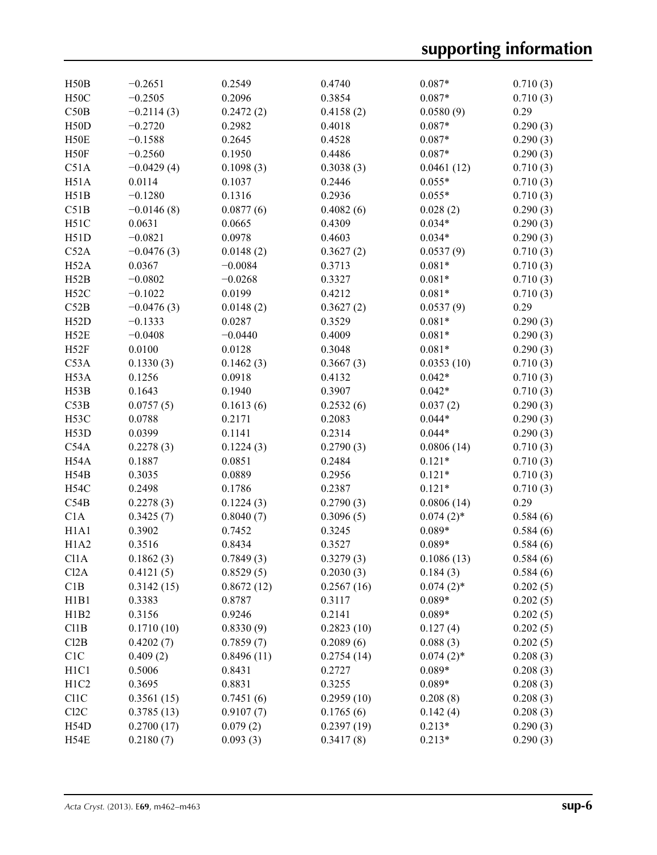| H50B                          | $-0.2651$    | 0.2549     | 0.4740     | $0.087*$     | 0.710(3) |
|-------------------------------|--------------|------------|------------|--------------|----------|
| H50C                          | $-0.2505$    | 0.2096     | 0.3854     | $0.087*$     | 0.710(3) |
| C50B                          | $-0.2114(3)$ | 0.2472(2)  | 0.4158(2)  | 0.0580(9)    | 0.29     |
| H <sub>50</sub> D             | $-0.2720$    | 0.2982     | 0.4018     | $0.087*$     | 0.290(3) |
| H50E                          | $-0.1588$    | 0.2645     | 0.4528     | $0.087*$     | 0.290(3) |
| H50F                          | $-0.2560$    | 0.1950     | 0.4486     | $0.087*$     | 0.290(3) |
| C51A                          | $-0.0429(4)$ | 0.1098(3)  | 0.3038(3)  | 0.0461(12)   | 0.710(3) |
| H51A                          | 0.0114       | 0.1037     | 0.2446     | $0.055*$     | 0.710(3) |
| H51B                          | $-0.1280$    | 0.1316     | 0.2936     | $0.055*$     | 0.710(3) |
| C51B                          | $-0.0146(8)$ | 0.0877(6)  | 0.4082(6)  | 0.028(2)     | 0.290(3) |
| H51C                          | 0.0631       | 0.0665     | 0.4309     | $0.034*$     | 0.290(3) |
| H51D                          | $-0.0821$    | 0.0978     | 0.4603     | $0.034*$     | 0.290(3) |
| C52A                          | $-0.0476(3)$ | 0.0148(2)  | 0.3627(2)  | 0.0537(9)    | 0.710(3) |
| H52A                          | 0.0367       | $-0.0084$  | 0.3713     | $0.081*$     | 0.710(3) |
| H52B                          | $-0.0802$    | $-0.0268$  | 0.3327     | $0.081*$     | 0.710(3) |
| H52C                          | $-0.1022$    | 0.0199     | 0.4212     | $0.081*$     | 0.710(3) |
| C52B                          | $-0.0476(3)$ | 0.0148(2)  | 0.3627(2)  | 0.0537(9)    | 0.29     |
| H52D                          | $-0.1333$    | 0.0287     | 0.3529     | $0.081*$     | 0.290(3) |
| H52E                          | $-0.0408$    | $-0.0440$  | 0.4009     | $0.081*$     | 0.290(3) |
| H52F                          | 0.0100       | 0.0128     | 0.3048     | $0.081*$     | 0.290(3) |
| C53A                          | 0.1330(3)    | 0.1462(3)  | 0.3667(3)  | 0.0353(10)   | 0.710(3) |
| H53A                          | 0.1256       | 0.0918     | 0.4132     | $0.042*$     | 0.710(3) |
| H53B                          | 0.1643       | 0.1940     | 0.3907     | $0.042*$     | 0.710(3) |
| C53B                          | 0.0757(5)    | 0.1613(6)  | 0.2532(6)  | 0.037(2)     | 0.290(3) |
| H53C                          | 0.0788       | 0.2171     | 0.2083     | $0.044*$     | 0.290(3) |
| H53D                          | 0.0399       | 0.1141     | 0.2314     | $0.044*$     | 0.290(3) |
| C54A                          | 0.2278(3)    | 0.1224(3)  | 0.2790(3)  | 0.0806(14)   | 0.710(3) |
| H54A                          | 0.1887       | 0.0851     | 0.2484     | $0.121*$     | 0.710(3) |
| H54B                          | 0.3035       | 0.0889     | 0.2956     | $0.121*$     | 0.710(3) |
| H54C                          | 0.2498       | 0.1786     | 0.2387     | $0.121*$     | 0.710(3) |
| C54B                          | 0.2278(3)    | 0.1224(3)  | 0.2790(3)  | 0.0806(14)   | 0.29     |
| C1A                           | 0.3425(7)    | 0.8040(7)  | 0.3096(5)  | $0.074(2)$ * | 0.584(6) |
| H1A1                          | 0.3902       | 0.7452     | 0.3245     | $0.089*$     | 0.584(6) |
| H1A2                          | 0.3516       | 0.8434     | 0.3527     | $0.089*$     | 0.584(6) |
| Cl <sub>1</sub> A             | 0.1862(3)    | 0.7849(3)  | 0.3279(3)  | 0.1086(13)   | 0.584(6) |
| C12A                          | 0.4121(5)    | 0.8529(5)  | 0.2030(3)  | 0.184(3)     | 0.584(6) |
| C1B                           | 0.3142(15)   | 0.8672(12) | 0.2567(16) | $0.074(2)$ * | 0.202(5) |
| H1B1                          | 0.3383       | 0.8787     | 0.3117     | $0.089*$     | 0.202(5) |
| H1B2                          | 0.3156       | 0.9246     | 0.2141     | $0.089*$     | 0.202(5) |
| C11B                          | 0.1710(10)   | 0.8330(9)  | 0.2823(10) | 0.127(4)     | 0.202(5) |
| Cl2B                          | 0.4202(7)    | 0.7859(7)  | 0.2089(6)  | 0.088(3)     | 0.202(5) |
| C1C                           | 0.409(2)     | 0.8496(11) | 0.2754(14) | $0.074(2)$ * | 0.208(3) |
| H <sub>1</sub> C <sub>1</sub> | 0.5006       | 0.8431     | 0.2727     | $0.089*$     | 0.208(3) |
| H1C2                          | 0.3695       | 0.8831     | 0.3255     | $0.089*$     | 0.208(3) |
| C <sub>11</sub> C             | 0.3561(15)   | 0.7451(6)  | 0.2959(10) | 0.208(8)     | 0.208(3) |
| C <sub>12</sub> C             | 0.3785(13)   | 0.9107(7)  | 0.1765(6)  | 0.142(4)     | 0.208(3) |
| H54D                          | 0.2700(17)   | 0.079(2)   | 0.2397(19) | $0.213*$     | 0.290(3) |
| H54E                          | 0.2180(7)    | 0.093(3)   | 0.3417(8)  | $0.213*$     | 0.290(3) |
|                               |              |            |            |              |          |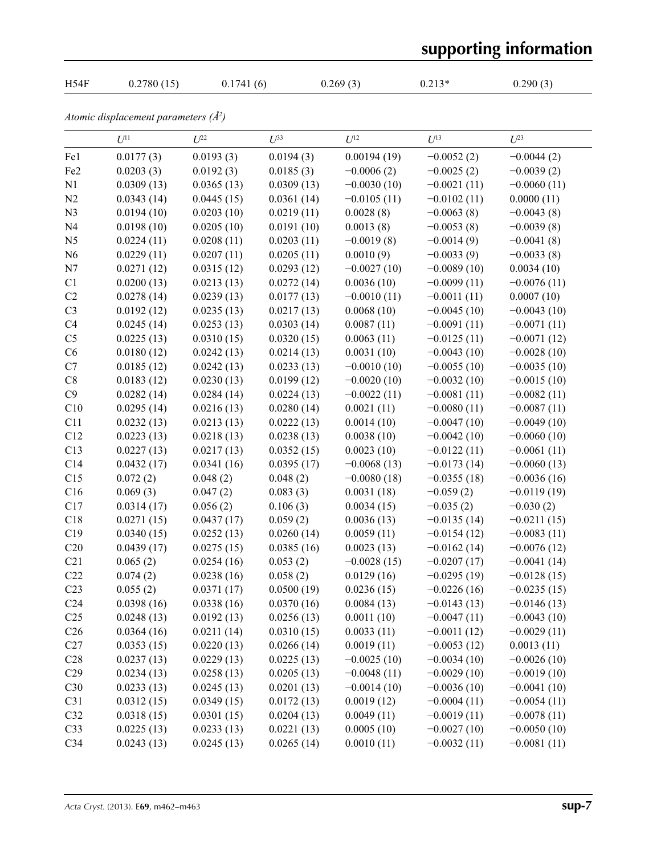| H54F                                   | 0.2780(15) | 0.1741(6)  |            | 0.269(3)      | $0.213*$      | 0.290(3)      |
|----------------------------------------|------------|------------|------------|---------------|---------------|---------------|
| Atomic displacement parameters $(A^2)$ |            |            |            |               |               |               |
|                                        | $U^{11}$   | $U^{22}$   | $U^{33}$   | $U^{12}$      | $U^{13}$      | $U^{23}$      |
| Fe1                                    | 0.0177(3)  | 0.0193(3)  | 0.0194(3)  | 0.00194(19)   | $-0.0052(2)$  | $-0.0044(2)$  |
| Fe <sub>2</sub>                        | 0.0203(3)  | 0.0192(3)  | 0.0185(3)  | $-0.0006(2)$  | $-0.0025(2)$  | $-0.0039(2)$  |
| N1                                     | 0.0309(13) | 0.0365(13) | 0.0309(13) | $-0.0030(10)$ | $-0.0021(11)$ | $-0.0060(11)$ |
| N2                                     | 0.0343(14) | 0.0445(15) | 0.0361(14) | $-0.0105(11)$ | $-0.0102(11)$ | 0.0000(11)    |
| N <sub>3</sub>                         | 0.0194(10) | 0.0203(10) | 0.0219(11) | 0.0028(8)     | $-0.0063(8)$  | $-0.0043(8)$  |
| N <sub>4</sub>                         | 0.0198(10) | 0.0205(10) | 0.0191(10) | 0.0013(8)     | $-0.0053(8)$  | $-0.0039(8)$  |
| N <sub>5</sub>                         | 0.0224(11) | 0.0208(11) | 0.0203(11) | $-0.0019(8)$  | $-0.0014(9)$  | $-0.0041(8)$  |
| N <sub>6</sub>                         | 0.0229(11) | 0.0207(11) | 0.0205(11) | 0.0010(9)     | $-0.0033(9)$  | $-0.0033(8)$  |
| N7                                     | 0.0271(12) | 0.0315(12) | 0.0293(12) | $-0.0027(10)$ | $-0.0089(10)$ | 0.0034(10)    |
| C1                                     | 0.0200(13) | 0.0213(13) | 0.0272(14) | 0.0036(10)    | $-0.0099(11)$ | $-0.0076(11)$ |
| C2                                     | 0.0278(14) | 0.0239(13) | 0.0177(13) | $-0.0010(11)$ | $-0.0011(11)$ | 0.0007(10)    |
| C <sub>3</sub>                         | 0.0192(12) | 0.0235(13) | 0.0217(13) | 0.0068(10)    | $-0.0045(10)$ | $-0.0043(10)$ |
| C4                                     | 0.0245(14) | 0.0253(13) | 0.0303(14) | 0.0087(11)    | $-0.0091(11)$ | $-0.0071(11)$ |
| C <sub>5</sub>                         | 0.0225(13) | 0.0310(15) | 0.0320(15) | 0.0063(11)    | $-0.0125(11)$ | $-0.0071(12)$ |
| C6                                     | 0.0180(12) | 0.0242(13) | 0.0214(13) | 0.0031(10)    | $-0.0043(10)$ | $-0.0028(10)$ |
| C7                                     | 0.0185(12) | 0.0242(13) | 0.0233(13) | $-0.0010(10)$ | $-0.0055(10)$ | $-0.0035(10)$ |
| C8                                     | 0.0183(12) | 0.0230(13) | 0.0199(12) | $-0.0020(10)$ | $-0.0032(10)$ | $-0.0015(10)$ |
| C9                                     | 0.0282(14) | 0.0284(14) | 0.0224(13) | $-0.0022(11)$ | $-0.0081(11)$ | $-0.0082(11)$ |
| C10                                    | 0.0295(14) | 0.0216(13) | 0.0280(14) | 0.0021(11)    | $-0.0080(11)$ | $-0.0087(11)$ |
| C11                                    | 0.0232(13) | 0.0213(13) | 0.0222(13) | 0.0014(10)    | $-0.0047(10)$ | $-0.0049(10)$ |
| C12                                    | 0.0223(13) | 0.0218(13) | 0.0238(13) | 0.0038(10)    | $-0.0042(10)$ | $-0.0060(10)$ |
| C13                                    | 0.0227(13) | 0.0217(13) | 0.0352(15) | 0.0023(10)    | $-0.0122(11)$ | $-0.0061(11)$ |
| C14                                    | 0.0432(17) | 0.0341(16) | 0.0395(17) | $-0.0068(13)$ | $-0.0173(14)$ | $-0.0060(13)$ |
| C15                                    | 0.072(2)   | 0.048(2)   | 0.048(2)   | $-0.0080(18)$ | $-0.0355(18)$ | $-0.0036(16)$ |
| C16                                    | 0.069(3)   | 0.047(2)   | 0.083(3)   | 0.0031(18)    | $-0.059(2)$   | $-0.0119(19)$ |
| C17                                    | 0.0314(17) | 0.056(2)   | 0.106(3)   | 0.0034(15)    | $-0.035(2)$   | $-0.030(2)$   |
| C18                                    | 0.0271(15) | 0.0437(17) | 0.059(2)   | 0.0036(13)    | $-0.0135(14)$ | $-0.0211(15)$ |
| C19                                    | 0.0340(15) | 0.0252(13) | 0.0260(14) | 0.0059(11)    | $-0.0154(12)$ | $-0.0083(11)$ |
| C20                                    | 0.0439(17) | 0.0275(15) | 0.0385(16) | 0.0023(13)    | $-0.0162(14)$ | $-0.0076(12)$ |
| C <sub>21</sub>                        | 0.065(2)   | 0.0254(16) | 0.053(2)   | $-0.0028(15)$ | $-0.0207(17)$ | $-0.0041(14)$ |
| C22                                    | 0.074(2)   | 0.0238(16) | 0.058(2)   | 0.0129(16)    | $-0.0295(19)$ | $-0.0128(15)$ |
| C <sub>23</sub>                        | 0.055(2)   | 0.0371(17) | 0.0500(19) | 0.0236(15)    | $-0.0226(16)$ | $-0.0235(15)$ |
| C <sub>24</sub>                        | 0.0398(16) | 0.0338(16) | 0.0370(16) | 0.0084(13)    | $-0.0143(13)$ | $-0.0146(13)$ |
| C <sub>25</sub>                        | 0.0248(13) | 0.0192(13) | 0.0256(13) | 0.0011(10)    | $-0.0047(11)$ | $-0.0043(10)$ |
| C <sub>26</sub>                        | 0.0364(16) | 0.0211(14) | 0.0310(15) | 0.0033(11)    | $-0.0011(12)$ | $-0.0029(11)$ |
| C27                                    | 0.0353(15) | 0.0220(13) | 0.0266(14) | 0.0019(11)    | $-0.0053(12)$ | 0.0013(11)    |
| C28                                    | 0.0237(13) | 0.0229(13) | 0.0225(13) | $-0.0025(10)$ | $-0.0034(10)$ | $-0.0026(10)$ |
| C29                                    | 0.0234(13) | 0.0258(13) | 0.0205(13) | $-0.0048(11)$ | $-0.0029(10)$ | $-0.0019(10)$ |
| C30                                    | 0.0233(13) | 0.0245(13) | 0.0201(13) | $-0.0014(10)$ | $-0.0036(10)$ | $-0.0041(10)$ |
| C31                                    | 0.0312(15) | 0.0349(15) | 0.0172(13) | 0.0019(12)    | $-0.0004(11)$ | $-0.0054(11)$ |
| C32                                    | 0.0318(15) | 0.0301(15) | 0.0204(13) | 0.0049(11)    | $-0.0019(11)$ | $-0.0078(11)$ |
| C <sub>33</sub>                        | 0.0225(13) | 0.0233(13) | 0.0221(13) | 0.0005(10)    | $-0.0027(10)$ | $-0.0050(10)$ |
| C34                                    | 0.0243(13) | 0.0245(13) | 0.0265(14) | 0.0010(11)    | $-0.0032(11)$ | $-0.0081(11)$ |

**supporting information**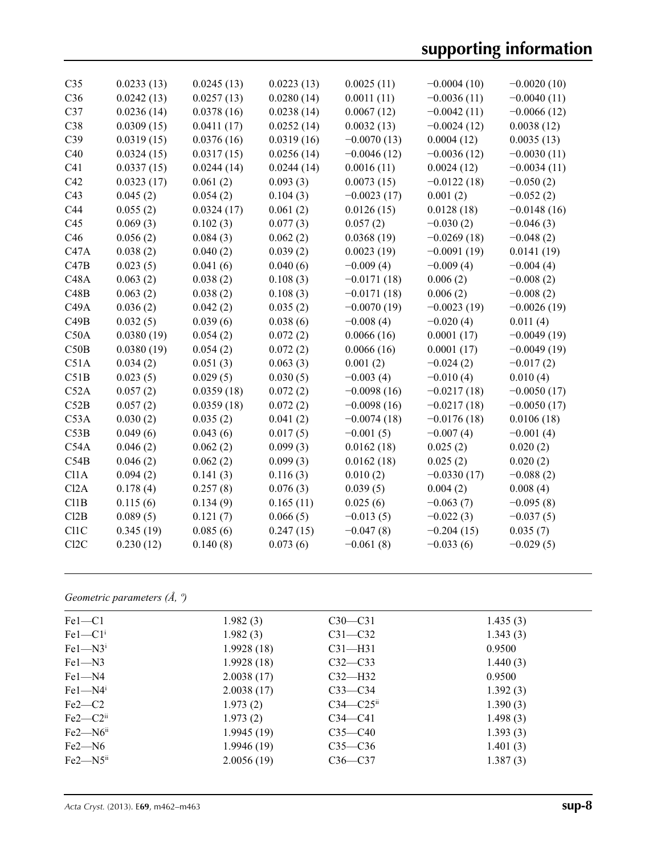# **supporting information**

| C <sub>35</sub>   | 0.0233(13) | 0.0245(13) | 0.0223(13) | 0.0025(11)    | $-0.0004(10)$ | $-0.0020(10)$ |
|-------------------|------------|------------|------------|---------------|---------------|---------------|
| C36               | 0.0242(13) | 0.0257(13) | 0.0280(14) | 0.0011(11)    | $-0.0036(11)$ | $-0.0040(11)$ |
| C37               | 0.0236(14) | 0.0378(16) | 0.0238(14) | 0.0067(12)    | $-0.0042(11)$ | $-0.0066(12)$ |
| C38               | 0.0309(15) | 0.0411(17) | 0.0252(14) | 0.0032(13)    | $-0.0024(12)$ | 0.0038(12)    |
| C39               | 0.0319(15) | 0.0376(16) | 0.0319(16) | $-0.0070(13)$ | 0.0004(12)    | 0.0035(13)    |
| C40               | 0.0324(15) | 0.0317(15) | 0.0256(14) | $-0.0046(12)$ | $-0.0036(12)$ | $-0.0030(11)$ |
| C <sub>41</sub>   | 0.0337(15) | 0.0244(14) | 0.0244(14) | 0.0016(11)    | 0.0024(12)    | $-0.0034(11)$ |
| C42               | 0.0323(17) | 0.061(2)   | 0.093(3)   | 0.0073(15)    | $-0.0122(18)$ | $-0.050(2)$   |
| C43               | 0.045(2)   | 0.054(2)   | 0.104(3)   | $-0.0023(17)$ | 0.001(2)      | $-0.052(2)$   |
| C44               | 0.055(2)   | 0.0324(17) | 0.061(2)   | 0.0126(15)    | 0.0128(18)    | $-0.0148(16)$ |
| C45               | 0.069(3)   | 0.102(3)   | 0.077(3)   | 0.057(2)      | $-0.030(2)$   | $-0.046(3)$   |
| C46               | 0.056(2)   | 0.084(3)   | 0.062(2)   | 0.0368(19)    | $-0.0269(18)$ | $-0.048(2)$   |
| C47A              | 0.038(2)   | 0.040(2)   | 0.039(2)   | 0.0023(19)    | $-0.0091(19)$ | 0.0141(19)    |
| C47B              | 0.023(5)   | 0.041(6)   | 0.040(6)   | $-0.009(4)$   | $-0.009(4)$   | $-0.004(4)$   |
| C <sub>48</sub> A | 0.063(2)   | 0.038(2)   | 0.108(3)   | $-0.0171(18)$ | 0.006(2)      | $-0.008(2)$   |
| C48B              | 0.063(2)   | 0.038(2)   | 0.108(3)   | $-0.0171(18)$ | 0.006(2)      | $-0.008(2)$   |
| C49A              | 0.036(2)   | 0.042(2)   | 0.035(2)   | $-0.0070(19)$ | $-0.0023(19)$ | $-0.0026(19)$ |
| C49B              | 0.032(5)   | 0.039(6)   | 0.038(6)   | $-0.008(4)$   | $-0.020(4)$   | 0.011(4)      |
| C50A              | 0.0380(19) | 0.054(2)   | 0.072(2)   | 0.0066(16)    | 0.0001(17)    | $-0.0049(19)$ |
| C50B              | 0.0380(19) | 0.054(2)   | 0.072(2)   | 0.0066(16)    | 0.0001(17)    | $-0.0049(19)$ |
| C51A              | 0.034(2)   | 0.051(3)   | 0.063(3)   | 0.001(2)      | $-0.024(2)$   | $-0.017(2)$   |
| C51B              | 0.023(5)   | 0.029(5)   | 0.030(5)   | $-0.003(4)$   | $-0.010(4)$   | 0.010(4)      |
| C52A              | 0.057(2)   | 0.0359(18) | 0.072(2)   | $-0.0098(16)$ | $-0.0217(18)$ | $-0.0050(17)$ |
| C52B              | 0.057(2)   | 0.0359(18) | 0.072(2)   | $-0.0098(16)$ | $-0.0217(18)$ | $-0.0050(17)$ |
| C53A              | 0.030(2)   | 0.035(2)   | 0.041(2)   | $-0.0074(18)$ | $-0.0176(18)$ | 0.0106(18)    |
| C53B              | 0.049(6)   | 0.043(6)   | 0.017(5)   | $-0.001(5)$   | $-0.007(4)$   | $-0.001(4)$   |
| C54A              | 0.046(2)   | 0.062(2)   | 0.099(3)   | 0.0162(18)    | 0.025(2)      | 0.020(2)      |
| C54B              | 0.046(2)   | 0.062(2)   | 0.099(3)   | 0.0162(18)    | 0.025(2)      | 0.020(2)      |
| C11A              | 0.094(2)   | 0.141(3)   | 0.116(3)   | 0.010(2)      | $-0.0330(17)$ | $-0.088(2)$   |
| C12A              | 0.178(4)   | 0.257(8)   | 0.076(3)   | 0.039(5)      | 0.004(2)      | 0.008(4)      |
| C11B              | 0.115(6)   | 0.134(9)   | 0.165(11)  | 0.025(6)      | $-0.063(7)$   | $-0.095(8)$   |
| Cl2B              | 0.089(5)   | 0.121(7)   | 0.066(5)   | $-0.013(5)$   | $-0.022(3)$   | $-0.037(5)$   |
| C11C              | 0.345(19)  | 0.085(6)   | 0.247(15)  | $-0.047(8)$   | $-0.204(15)$  | 0.035(7)      |
| C12C              | 0.230(12)  | 0.140(8)   | 0.073(6)   | $-0.061(8)$   | $-0.033(6)$   | $-0.029(5)$   |

### *Geometric parameters (Å, º)*

| $Fe1 - C1$               | 1.982(3)   | $C30-C31$                 | 1.435(3) |  |
|--------------------------|------------|---------------------------|----------|--|
| $Fe1-C1i$                | 1.982(3)   | $C31 - C32$               | 1.343(3) |  |
| $Fe1 - N3$ <sup>i</sup>  | 1.9928(18) | $C31 - H31$               | 0.9500   |  |
| $Fe1 - N3$               | 1.9928(18) | $C32-C33$                 | 1.440(3) |  |
| $Fe1 - N4$               | 2.0038(17) | $C32-H32$                 | 0.9500   |  |
| $Fe1 - N4$ <sup>i</sup>  | 2.0038(17) | $C33-C34$                 | 1.392(3) |  |
| $Fe2-C2$                 | 1.973(2)   | $C34 - C25$ <sup>ii</sup> | 1.390(3) |  |
| $Fe2-C2ii$               | 1.973(2)   | $C34 - C41$               | 1.498(3) |  |
| $Fe2 - N6$ <sup>ii</sup> | 1.9945(19) | $C35 - C40$               | 1.393(3) |  |
| $Fe2 - N6$               | 1.9946(19) | $C35 - C36$               | 1.401(3) |  |
| $Fe2 - N5$ <sup>ii</sup> | 2.0056(19) | $C36-C37$                 | 1.387(3) |  |
|                          |            |                           |          |  |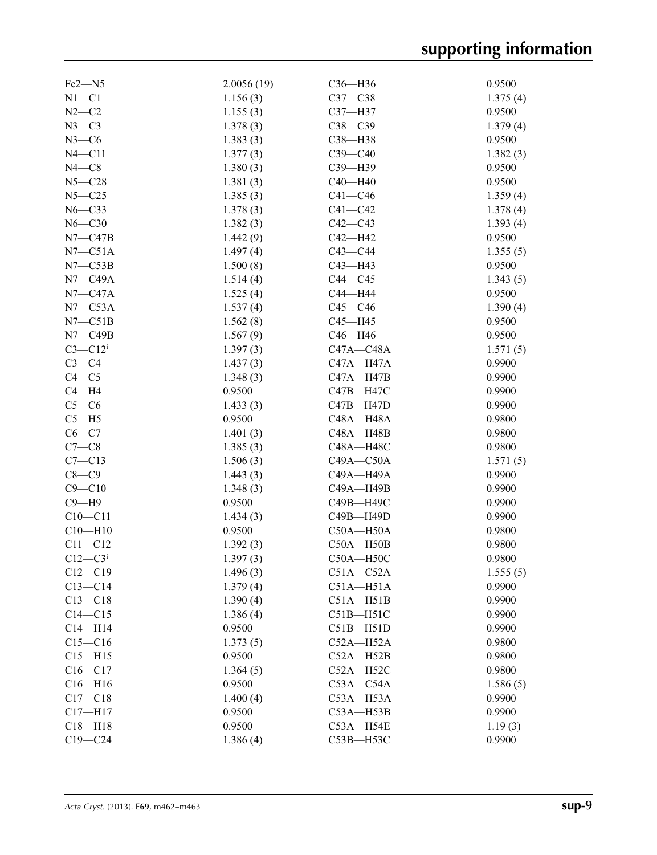| $Fe2 - N5$            | 2.0056(19) | $C36 - H36$   | 0.9500   |
|-----------------------|------------|---------------|----------|
| $N1 - C1$             | 1.156(3)   | $C37-C38$     | 1.375(4) |
| $N2-C2$               | 1.155(3)   | C37-H37       | 0.9500   |
| $N3-C3$               | 1.378(3)   | $C38 - C39$   | 1.379(4) |
| $N3-C6$               | 1.383(3)   | C38-H38       | 0.9500   |
| $N4 - C11$            | 1.377(3)   | $C39-C40$     | 1.382(3) |
| $N4 - C8$             | 1.380(3)   | C39-H39       | 0.9500   |
| $N5 - C28$            | 1.381(3)   | $C40 - H40$   | 0.9500   |
| $N5 - C25$            | 1.385(3)   | $C41 - C46$   | 1.359(4) |
| $N6 - C33$            | 1.378(3)   | $C41 - C42$   | 1.378(4) |
| $N6 - C30$            | 1.382(3)   | $C42 - C43$   | 1.393(4) |
| $N7 - C47B$           | 1.442(9)   | C42-H42       | 0.9500   |
| $N7 - C51A$           | 1.497(4)   | $C43 - C44$   | 1.355(5) |
| $N7 - C53B$           | 1.500(8)   | $C43 - H43$   | 0.9500   |
| $N7$ —C49A            | 1.514(4)   | $C44 - C45$   | 1.343(5) |
| $N7-C47A$             | 1.525(4)   | C44-H44       | 0.9500   |
| $N7 - C53A$           | 1.537(4)   | $C45-C46$     | 1.390(4) |
| $N7 - C51B$           | 1.562(8)   | $C45 - H45$   | 0.9500   |
| $N7 - C49B$           | 1.567(9)   | $C46 - H46$   | 0.9500   |
| $C3-C12$ <sup>i</sup> | 1.397(3)   | $C47A - C48A$ | 1.571(5) |
| $C3-C4$               | 1.437(3)   | $C47A - H47A$ | 0.9900   |
| $C4 - C5$             | 1.348(3)   | $C47A - H47B$ | 0.9900   |
| $C4 - H4$             | 0.9500     | C47B-H47C     | 0.9900   |
| $C5-C6$               | 1.433(3)   | C47B-H47D     | 0.9900   |
| $C5 - H5$             | 0.9500     | C48A-H48A     | 0.9800   |
| $C6 - C7$             | 1.401(3)   | C48A—H48B     | 0.9800   |
| $C7-C8$               | 1.385(3)   | C48A-H48C     | 0.9800   |
| $C7 - C13$            | 1.506(3)   | $C49A - C50A$ | 1.571(5) |
| $C8-C9$               |            | C49A-H49A     | 0.9900   |
|                       | 1.443(3)   |               |          |
| $C9 - C10$            | 1.348(3)   | $C49A - H49B$ | 0.9900   |
| $C9 - H9$             | 0.9500     | С49В-Н49С     | 0.9900   |
| $C10 - C11$           | 1.434(3)   | C49B-H49D     | 0.9900   |
| $C10 - H10$           | 0.9500     | $C50A - H50A$ | 0.9800   |
| $C11 - C12$           | 1.392(3)   | $C50A - H50B$ | 0.9800   |
| $C12-C3i$             | 1.397(3)   | $C50A - H50C$ | 0.9800   |
| $C12 - C19$           | 1.496(3)   | $C51A - C52A$ | 1.555(5) |
| $C13 - C14$           | 1.379(4)   | $C51A - H51A$ | 0.9900   |
| $C13 - C18$           | 1.390(4)   | $C51A - H51B$ | 0.9900   |
| $C14 - C15$           | 1.386(4)   | $C51B - H51C$ | 0.9900   |
| $C14 - H14$           | 0.9500     | $C51B - H51D$ | 0.9900   |
| $C15 - C16$           | 1.373(5)   | $C52A - H52A$ | 0.9800   |
| $C15 - H15$           | 0.9500     | $C52A - H52B$ | 0.9800   |
| $C16 - C17$           | 1.364(5)   | $C52A - H52C$ | 0.9800   |
| $C16 - H16$           | 0.9500     | $C53A - C54A$ | 1.586(5) |
| $C17 - C18$           | 1.400(4)   | $C53A - H53A$ | 0.9900   |
| $C17 - H17$           | 0.9500     | $C53A - H53B$ | 0.9900   |
| $C18 - H18$           | 0.9500     | C53A-H54E     | 1.19(3)  |
| $C19 - C24$           | 1.386(4)   | $C53B - H53C$ | 0.9900   |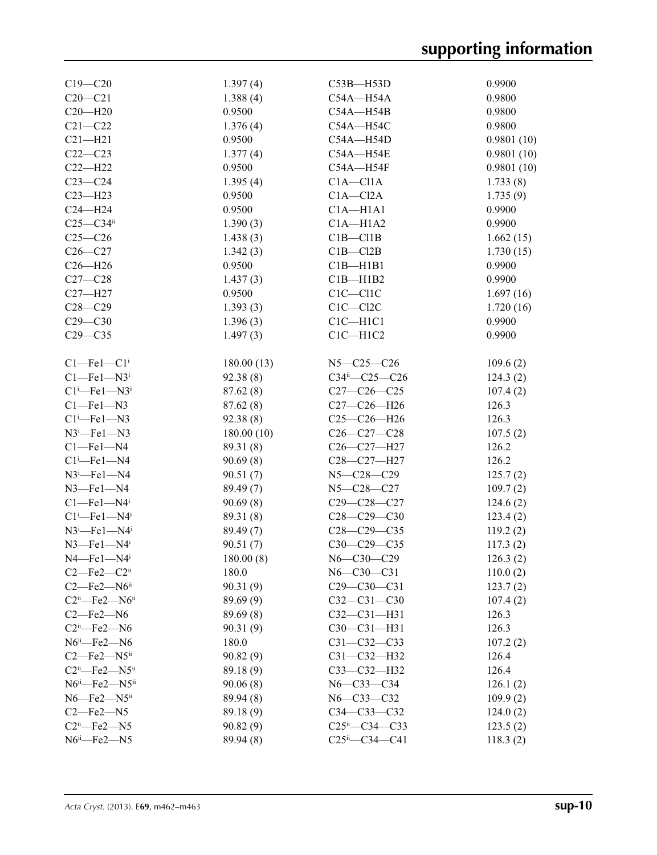| $C19 - C20$                       | 1.397(4)   | $C53B - H53D$                 | 0.9900     |
|-----------------------------------|------------|-------------------------------|------------|
| $C20 - C21$                       | 1.388(4)   | C54A—H54A                     | 0.9800     |
| $C20 - H20$                       | 0.9500     | $C54A - H54B$                 | 0.9800     |
| $C21 - C22$                       | 1.376(4)   | $C54A - H54C$                 | 0.9800     |
| $C21 - H21$                       | 0.9500     | $C54A - H54D$                 | 0.9801(10) |
| $C22-C23$                         | 1.377(4)   | C54A-H54E                     | 0.9801(10) |
| $C22 - H22$                       | 0.9500     | $C54A - H54F$                 | 0.9801(10) |
| $C23-C24$                         | 1.395(4)   | $C1A - C11A$                  | 1.733(8)   |
| $C23 - H23$                       | 0.9500     | $C1A - C12A$                  | 1.735(9)   |
| $C24 - H24$                       | 0.9500     | $C1A - H1A1$                  | 0.9900     |
| $C25-C34ii$                       | 1.390(3)   | $C1A - H1A2$                  | 0.9900     |
| $C25-C26$                         | 1.438(3)   | $C1B - C11B$                  | 1.662(15)  |
| $C26 - C27$                       | 1.342(3)   | $C1B - C12B$                  | 1.730(15)  |
| $C26 - H26$                       | 0.9500     | $C1B - H1B1$                  | 0.9900     |
| $C27-C28$                         | 1.437(3)   | $C1B - H1B2$                  | 0.9900     |
| $C27 - H27$                       | 0.9500     | $C1C - C11C$                  | 1.697(16)  |
| $C28 - C29$                       | 1.393(3)   | $C1C - C12C$                  | 1.720(16)  |
| $C29 - C30$                       | 1.396(3)   | $ClC-H1Cl$                    | 0.9900     |
| $C29 - C35$                       | 1.497(3)   | $C1C - H1C2$                  | 0.9900     |
|                                   |            |                               |            |
| $Cl$ -Fel- $Cli$                  | 180.00(13) | $N5 - C25 - C26$              | 109.6(2)   |
| $Cl$ -Fel-N3i                     | 92.38(8)   | $C34^{ii} - C25 - C26$        | 124.3(2)   |
| $Cl^i$ -Fel-N3 <sup>i</sup>       | 87.62(8)   | $C27-C26-C25$                 | 107.4(2)   |
| $Cl$ -Fel-N3                      | 87.62(8)   | $C27-C26-H26$                 | 126.3      |
| $Cl^i$ -Fel-N3                    | 92.38(8)   | $C25-C26-H26$                 | 126.3      |
| $N3^i$ -Fel-N3                    | 180.00(10) | $C26 - C27 - C28$             | 107.5(2)   |
| $Cl$ -Fel-N4                      | 89.31 (8)  | C26-C27-H27                   | 126.2      |
| $Cl^i$ -Fel-N4                    | 90.69(8)   | C28-C27-H27                   | 126.2      |
| $N3^i$ -Fel-N4                    |            | N5-C28-C29                    |            |
|                                   | 90.51(7)   | N5-C28-C27                    | 125.7(2)   |
| $N3$ —Fel—N4                      | 89.49 (7)  |                               | 109.7(2)   |
| $Cl$ -Fel-N4i                     | 90.69(8)   | C29-C28-C27                   | 124.6(2)   |
| $Cl^i$ -Fel-N4 <sup>i</sup>       | 89.31 (8)  | $C28-C29-C30$                 | 123.4(2)   |
| $N3^i$ -Fel-N4 <sup>i</sup>       | 89.49 (7)  | $C28-C29-C35$                 | 119.2(2)   |
| $N3$ —Fe1—N4 <sup>i</sup>         | 90.51(7)   | C30-C29-C35                   | 117.3(2)   |
| $N4$ –Fel–N4 <sup>i</sup>         | 180.00(8)  | $N6 - C30 - C29$              | 126.3(2)   |
| $C2$ —Fe $2$ — $C2$ <sup>ii</sup> | 180.0      | $N6 - C30 - C31$              | 110.0(2)   |
| $C2$ -Fe2-N6ii                    | 90.31(9)   | $C29 - C30 - C31$             | 123.7(2)   |
| $C2ii$ -Fe2- $N6ii$               | 89.69(9)   | $C32 - C31 - C30$             | 107.4(2)   |
| $C2$ —Fe $2$ —N6                  | 89.69 (8)  | $C32-C31-H31$                 | 126.3      |
| $C2ii$ -Fe2--N6                   | 90.31 (9)  | $C30 - C31 - H31$             | 126.3      |
| $N6^{ii}$ —Fe2—N6                 | 180.0      | $C31 - C32 - C33$             | 107.2(2)   |
| $C2$ —Fe $2$ —N5 $i$              | 90.82(9)   | $C31 - C32 - H32$             | 126.4      |
| $C2ii$ -Fe2- $N5ii$               | 89.18(9)   | C33-C32-H32                   | 126.4      |
| $N6^{ii}$ —Fe2—N5 <sup>ii</sup>   | 90.06(8)   | $N6 - C33 - C34$              | 126.1(2)   |
| $N6$ —Fe $2$ —N5 $\mathrm{^{ii}}$ | 89.94 (8)  | N6-C33-C32                    | 109.9(2)   |
| $C2$ —Fe $2$ —N5                  | 89.18(9)   | $C34 - C33 - C32$             | 124.0(2)   |
| $C2ii$ -Fe2-N5                    | 90.82(9)   | $C25^{\text{ii}} - C34 - C33$ | 123.5(2)   |
| $N6^{ii}$ —Fe2—N5                 | 89.94 (8)  | $C25^{\text{ii}} - C34 - C41$ | 118.3(2)   |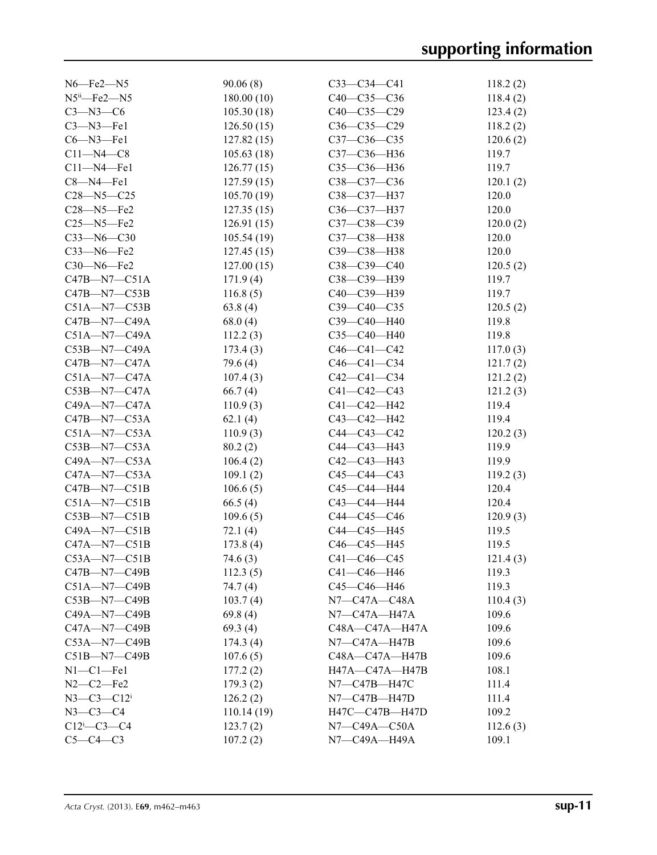| $N6$ —Fe $2$ —N5   | 90.06(8)    | $C33-C34-C41$       | 118.2(2) |
|--------------------|-------------|---------------------|----------|
| $N5^{ii}$ —Fe2—N5  | 180.00 (10) | $C40-C35-C36$       | 118.4(2) |
| $C3-M3-C6$         | 105.30(18)  | $C40-C35-C29$       | 123.4(2) |
| $C3 - N3 - Fe1$    | 126.50(15)  | $C36 - C35 - C29$   | 118.2(2) |
| $C6 - N3 - Fe1$    | 127.82(15)  | $C37 - C36 - C35$   | 120.6(2) |
| $C11 - N4 - C8$    | 105.63(18)  | C37-C36-H36         | 119.7    |
| $C11 - N4 - Fe1$   | 126.77(15)  | C35-C36-H36         | 119.7    |
| $C8 - N4 - Fe1$    | 127.59(15)  | C38-C37-C36         | 120.1(2) |
| $C28 - N5 - C25$   | 105.70(19)  | C38-C37-H37         | 120.0    |
| $C28 - N5 - Fe2$   | 127.35(15)  | C36-C37-H37         | 120.0    |
| C25-N5-Fe2         | 126.91(15)  | C37-C38-C39         | 120.0(2) |
| $C33 - N6 - C30$   | 105.54(19)  | C37-C38-H38         | 120.0    |
| $C33 - N6 - Fe2$   | 127.45(15)  | C39-C38-H38         | 120.0    |
| $C30 - N6 - Fe2$   | 127.00(15)  | $C38-C39-C40$       | 120.5(2) |
| $C47B$ —N7—C51A    | 171.9(4)    | C38-C39-H39         | 119.7    |
| $C47B$ —N7—C53B    | 116.8(5)    | C40-C39-H39         | 119.7    |
| $C51A - N7 - C53B$ | 63.8(4)     | $C39-C40-C35$       | 120.5(2) |
| C47B-N7-C49A       | 68.0(4)     | C39-C40-H40         | 119.8    |
| $C51A - N7 - C49A$ | 112.2(3)    | C35-C40-H40         | 119.8    |
| $C53B$ —N7—C49A    | 173.4(3)    | $C46 - C41 - C42$   | 117.0(3) |
| $C47B$ —N7—C47A    | 79.6 (4)    | $C46 - C41 - C34$   | 121.7(2) |
| $C51A - N7 - C47A$ | 107.4(3)    | $C42-C41-C34$       | 121.2(2) |
| $C53B$ —N7—C47A    | 66.7(4)     | $C41 - C42 - C43$   | 121.2(3) |
| C49A-N7-C47A       | 110.9(3)    | C41-C42-H42         | 119.4    |
| C47B-N7-C53A       | 62.1(4)     | C43-C42-H42         | 119.4    |
| $C51A - N7 - C53A$ | 110.9(3)    | C44-C43-C42         | 120.2(3) |
| $C53B - N7 - C53A$ | 80.2(2)     | C44-C43-H43         | 119.9    |
| $C49A - N7 - C53A$ | 106.4(2)    | $C42 - C43 - H43$   | 119.9    |
| $C47A$ —N7—C53A    | 109.1(2)    | $C45 - C44 - C43$   | 119.2(3) |
| $C47B$ —N7—C51B    | 106.6(5)    | $C45 - C44 - H44$   | 120.4    |
| $C51A - N7 - C51B$ | 66.5(4)     | C43-C44-H44         | 120.4    |
| $C53B$ —N7—C51B    | 109.6(5)    | $C44 - C45 - C46$   | 120.9(3) |
| $C49A - N7 - C51B$ | 72.1(4)     | C44-C45-H45         | 119.5    |
| $C47A - N7 - C51B$ | 173.8(4)    | C46-C45-H45         | 119.5    |
| $C53A - N7 - C51B$ | 74.6 (3)    | $C41 - C46 - C45$   | 121.4(3) |
| $C47B$ —N7—C49B    | 112.3(5)    | C41-C46-H46         | 119.3    |
| $C51A - N7 - C49B$ | 74.7 (4)    | C45-C46-H46         | 119.3    |
| $C53B$ —N7—C49B    | 103.7(4)    | N7-C47A-C48A        | 110.4(3) |
| $C49A - N7 - C49B$ | 69.8(4)     | $N7-C47A - H47A$    | 109.6    |
| $C47A - N7 - C49B$ | 69.3(4)     | C48A-C47A-H47A      | 109.6    |
| $C53A - N7 - C49B$ | 174.3(4)    | $N7$ — $C47A$ —H47B | 109.6    |
| $C51B - N7 - C49B$ | 107.6(5)    | C48A-C47A-H47B      | 109.6    |
| $N1-C1-Fe1$        | 177.2(2)    | H47A-C47A-H47B      | 108.1    |
| $N2-C2$ —Fe2       | 179.3(2)    | N7-C47B-H47C        | 111.4    |
| $N3 - C3 - C12$    | 126.2(2)    | $N7$ —C47B—H47D     | 111.4    |
| $N3-C3-C4$         | 110.14(19)  | H47C-C47B-H47D      | 109.2    |
| $C12^i$ -C3-C4     | 123.7(2)    | $N7$ —C49A—C50A     | 112.6(3) |
| $C5-C4-C3$         | 107.2(2)    | N7-C49A-H49A        | 109.1    |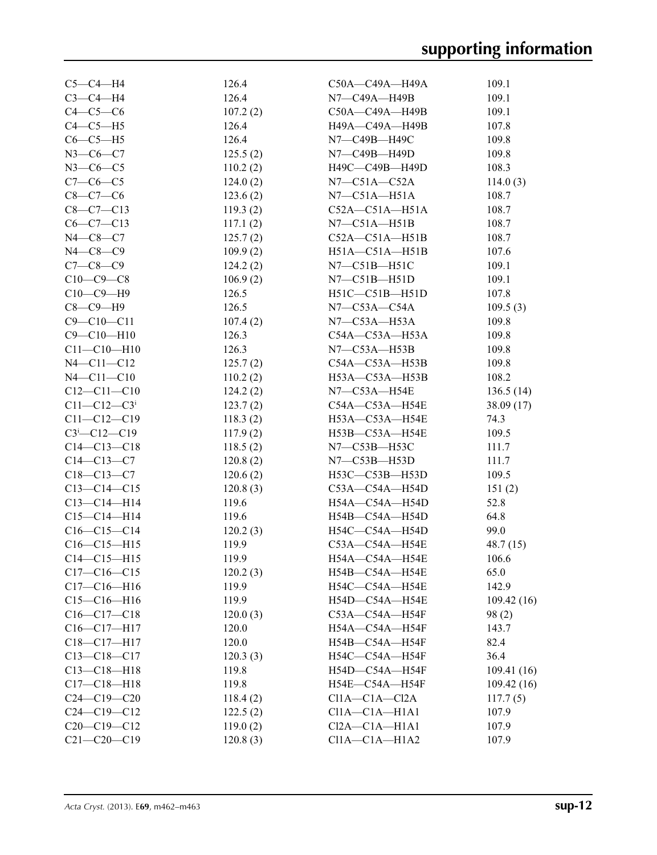| $C5-C4-H4$                        | 126.4    | C50A-C49A-H49A         | 109.1      |
|-----------------------------------|----------|------------------------|------------|
| $C3-C4-H4$                        | 126.4    | N7-C49A-H49B           | 109.1      |
| $C4-C5-C6$                        | 107.2(2) | $C50A - C49A - H49B$   | 109.1      |
| $C4-C5-H5$                        | 126.4    | H49A—C49A—H49B         | 107.8      |
| $C6-C5-H5$                        | 126.4    | N7—C49B—H49C           | 109.8      |
| $N3 - C6 - C7$                    | 125.5(2) | N7—C49B—H49D           | 109.8      |
| $N3-C6-C5$                        | 110.2(2) | H49C—C49B—H49D         | 108.3      |
| $C7-C6-C5$                        | 124.0(2) | $N7$ —C51A—C52A        | 114.0(3)   |
| $C8 - C7 - C6$                    | 123.6(2) | $N7$ —C51A—H51A        | 108.7      |
| $C8-C7-C13$                       | 119.3(2) | $C52A - C51A - H51A$   | 108.7      |
| $C6-C7-C13$                       | 117.1(2) | $N7$ — $C51A$ —H51B    | 108.7      |
| $N4 - C8 - C7$                    | 125.7(2) | $C52A - C51A - H51B$   | 108.7      |
| $N4 - C8 - C9$                    | 109.9(2) | $H51A - C51A - H51B$   | 107.6      |
| $C7 - C8 - C9$                    | 124.2(2) | $N7$ — $C51B$ — $H51C$ | 109.1      |
| $C10-C9-C8$                       | 106.9(2) | $N7$ — $C51B$ — $H51D$ | 109.1      |
| $C10-C9-H9$                       | 126.5    | $H51C-C51B-H51D$       | 107.8      |
| $C8-C9-H9$                        | 126.5    | N7—C53A—C54A           | 109.5(3)   |
| $C9 - C10 - C11$                  | 107.4(2) | N7—C53A—H53A           | 109.8      |
| $C9 - C10 - H10$                  | 126.3    | C54A—C53A—H53A         | 109.8      |
| $C11 - C10 - H10$                 | 126.3    | $N7-C53A-H53B$         | 109.8      |
| $N4 - C11 - C12$                  | 125.7(2) | $C54A - C53A - H53B$   | 109.8      |
| $N4 - C11 - C10$                  | 110.2(2) | H53A-C53A-H53B         | 108.2      |
| $C12 - C11 - C10$                 | 124.2(2) | $N7$ —C53A—H54E        | 136.5(14)  |
| $C11 - C12 - C3$                  | 123.7(2) | C54A-C53A-H54E         | 38.09(17)  |
| $C11 - C12 - C19$                 | 118.3(2) | H53A—C53A—H54E         | 74.3       |
| $C3$ <sup>i</sup> - $C12$ - $C19$ | 117.9(2) | H53B-C53A-H54E         | 109.5      |
| $C14 - C13 - C18$                 | 118.5(2) | N7-C53B-H53C           | 111.7      |
| $C14 - C13 - C7$                  | 120.8(2) | N7—C53B—H53D           | 111.7      |
| $C18 - C13 - C7$                  | 120.6(2) | $H53C-C53B-H53D$       | 109.5      |
| $C13 - C14 - C15$                 | 120.8(3) | $C53A - C54A - H54D$   | 151(2)     |
| $C13-C14-H14$                     | 119.6    | H54A-C54A-H54D         | 52.8       |
| $C15-C14-H14$                     | 119.6    | H54B-C54A-H54D         | 64.8       |
| $C16-C15-C14$                     | 120.2(3) | H54C—C54A—H54D         | 99.0       |
| $C16-C15-H15$                     | 119.9    | C53A-C54A-H54E         | 48.7(15)   |
| $C14 - C15 - H15$                 | 119.9    | H54A—C54A—H54E         | 106.6      |
| $C17-C16-C15$                     | 120.2(3) | H54B-C54A-H54E         | 65.0       |
| $C17 - C16 - H16$                 | 119.9    | H54C-C54A-H54E         | 142.9      |
| $C15-C16-H16$                     | 119.9    | H54D-C54A-H54E         | 109.42(16) |
| $C16-C17-C18$                     | 120.0(3) | C53A-C54A-H54F         | 98(2)      |
| $C16-C17-H17$                     | 120.0    | H54A-C54A-H54F         | 143.7      |
| $C18-C17-H17$                     | 120.0    | H54B-C54A-H54F         | 82.4       |
| $C13-C18-C17$                     | 120.3(3) | $H54C-C54A-H54F$       | 36.4       |
| $C13 - C18 - H18$                 | 119.8    | H54D-C54A-H54F         | 109.41(16) |
| $C17 - C18 - H18$                 | 119.8    | H54E-C54A-H54F         | 109.42(16) |
| $C24 - C19 - C20$                 | 118.4(2) | $C11A - C1A - C12A$    | 117.7(5)   |
| $C24-C19-C12$                     | 122.5(2) | $C11A - C1A - H1A1$    | 107.9      |
| $C20-C19-C12$                     | 119.0(2) | $Cl2A - ClA - H1A1$    | 107.9      |
| $C21 - C20 - C19$                 | 120.8(3) | $C11A - C1A - H1A2$    | 107.9      |
|                                   |          |                        |            |